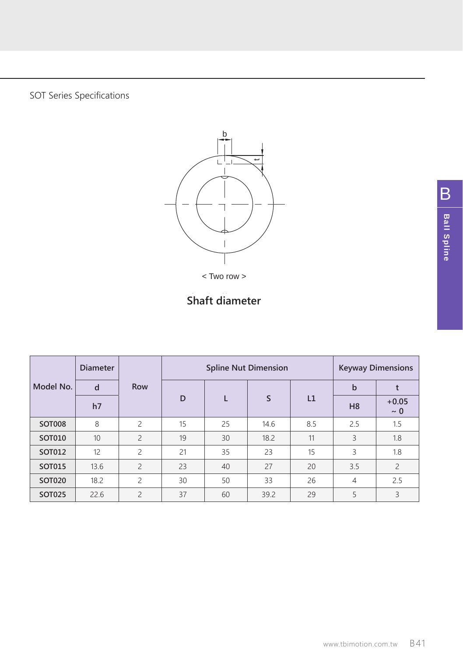SOT Series Specifications



< Two row >

## Shaft diameter **Shaft diameter**

|               | <b>Diameter</b> | Row                      |    | <b>Spline Nut Dimension</b> | <b>Keyway Dimensions</b> |     |                |                     |
|---------------|-----------------|--------------------------|----|-----------------------------|--------------------------|-----|----------------|---------------------|
| Model No.     | d               |                          | D  | L                           | S                        | L1  | $\mathbf b$    |                     |
|               | h7              |                          |    |                             |                          |     | H <sub>8</sub> | $+0.05$<br>$\sim 0$ |
| SOT008        | 8               | $\overline{\phantom{a}}$ | 15 | 25                          | 14.6                     | 8.5 | 2.5            | 1.5                 |
| SOT010        | 10              | $\overline{\phantom{0}}$ | 19 | 30                          | 18.2                     | 11  | 3              | 1.8                 |
| SOT012        | 12              | $\overline{c}$           | 21 | 35                          | 23                       | 15  | 3              | 1.8                 |
| SOT015        | 13.6            | $\overline{\phantom{0}}$ | 23 | 40                          | 27                       | 20  | 3.5            | $\overline{c}$      |
| <b>SOT020</b> | 18.2            | $\overline{\phantom{a}}$ | 30 | 50                          | 33                       | 26  | $\overline{4}$ | 2.5                 |
| <b>SOT025</b> | 22.6            | $\overline{\phantom{0}}$ | 37 | 60                          | 39.2                     | 29  | 5              | 3                   |